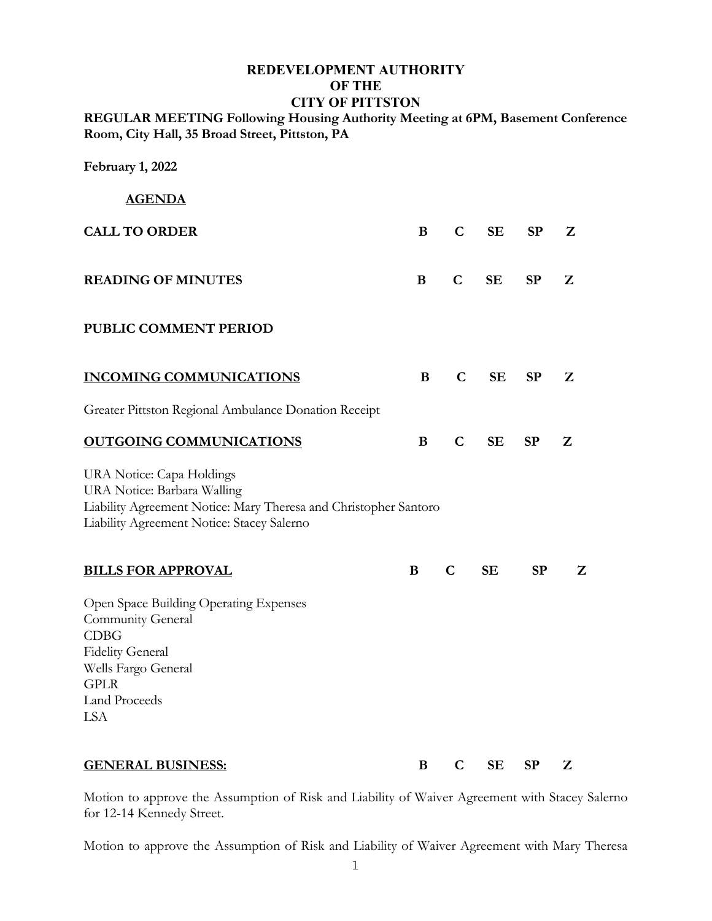## **REDEVELOPMENT AUTHORITY OF THE CITY OF PITTSTON**

## **REGULAR MEETING Following Housing Authority Meeting at 6PM, Basement Conference Room, City Hall, 35 Broad Street, Pittston, PA**

**February 1, 2022 AGENDA CALL TO ORDER B C SE SP Z READING OF MINUTES B C SE SP Z PUBLIC COMMENT PERIOD INCOMING COMMUNICATIONS** B C SE SP Z Greater Pittston Regional Ambulance Donation Receipt **OUTGOING COMMUNICATIONS B C SE SP Z** URA Notice: Capa Holdings URA Notice: Barbara Walling Liability Agreement Notice: Mary Theresa and Christopher Santoro Liability Agreement Notice: Stacey Salerno **BILLS FOR APPROVAL** B C SE SP Z Open Space Building Operating Expenses Community General CDBG Fidelity General Wells Fargo General GPLR Land Proceeds LSA **GENERAL BUSINESS: B C SE SP Z**

Motion to approve the Assumption of Risk and Liability of Waiver Agreement with Stacey Salerno for 12-14 Kennedy Street.

Motion to approve the Assumption of Risk and Liability of Waiver Agreement with Mary Theresa